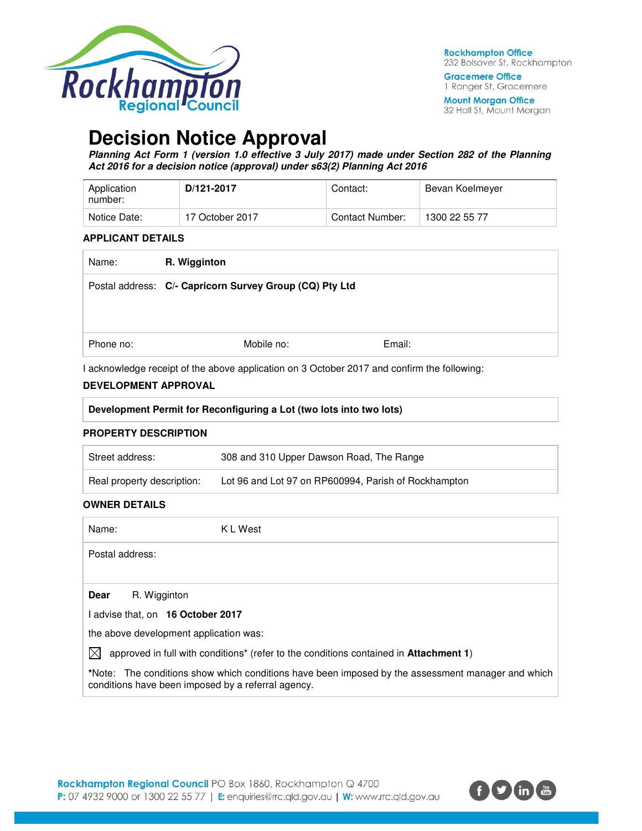

**Gracemere Office** 1 Ranger St, Gracemere

**Mount Morgan Office** 32 Hall St, Mount Morgan

# **Decision Notice Approval**

**Planning Act Form 1 (version 1.0 effective 3 July 2017) made under Section 282 of the Planning Act 2016 for a decision notice (approval) under s63(2) Planning Act 2016** 

| Application<br>number: | D/121-2017      | Contact:        | Bevan Koelmeyer |
|------------------------|-----------------|-----------------|-----------------|
| Notice Date:           | 17 October 2017 | Contact Number: | 1300 22 55 77   |

## **APPLICANT DETAILS**

| R. Wigginton                                            |        |
|---------------------------------------------------------|--------|
| Postal address: C/- Capricorn Survey Group (CQ) Pty Ltd |        |
|                                                         |        |
|                                                         |        |
| Mobile no:                                              | Email: |
|                                                         |        |

I acknowledge receipt of the above application on 3 October 2017 and confirm the following:

## **DEVELOPMENT APPROVAL**

| Development Permit for Reconfiguring a Lot (two lots into two lots) |  |
|---------------------------------------------------------------------|--|
| <b>PROPERTY DESCRIPTION</b>                                         |  |

| Street address:            | 308 and 310 Upper Dawson Road, The Range             |
|----------------------------|------------------------------------------------------|
| Real property description: | Lot 96 and Lot 97 on RP600994, Parish of Rockhampton |

## **OWNER DETAILS**

| Name:                                              | K L West                                                                                                  |
|----------------------------------------------------|-----------------------------------------------------------------------------------------------------------|
| Postal address:                                    |                                                                                                           |
|                                                    |                                                                                                           |
| Dear<br>R. Wigginton                               |                                                                                                           |
| I advise that, on 16 October 2017                  |                                                                                                           |
| the above development application was:             |                                                                                                           |
|                                                    | approved in full with conditions <sup>*</sup> (refer to the conditions contained in <b>Attachment 1</b> ) |
| conditions have been imposed by a referral agency. | *Note: The conditions show which conditions have been imposed by the assessment manager and which         |

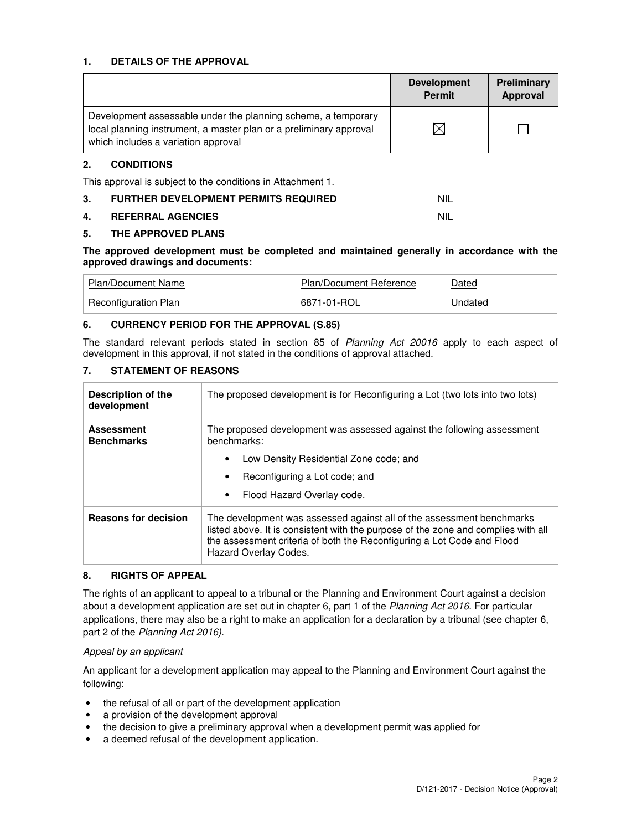## **1. DETAILS OF THE APPROVAL**

|                                                                                                                                                                            | <b>Development</b><br><b>Permit</b> | Preliminary<br>Approval |
|----------------------------------------------------------------------------------------------------------------------------------------------------------------------------|-------------------------------------|-------------------------|
| Development assessable under the planning scheme, a temporary<br>local planning instrument, a master plan or a preliminary approval<br>which includes a variation approval |                                     |                         |

## **2. CONDITIONS**

This approval is subject to the conditions in Attachment 1.

| 3. | <b>FURTHER DEVELOPMENT PERMITS REQUIRED</b> |  |
|----|---------------------------------------------|--|
|----|---------------------------------------------|--|

## **4. REFERRAL AGENCIES** NIL

## **5. THE APPROVED PLANS**

## **The approved development must be completed and maintained generally in accordance with the approved drawings and documents:**

| Plan/Document Name   | <b>Plan/Document Reference</b> | Dated   |
|----------------------|--------------------------------|---------|
| Reconfiguration Plan | 6871-01-ROL                    | Undated |

## **6. CURRENCY PERIOD FOR THE APPROVAL (S.85)**

The standard relevant periods stated in section 85 of Planning Act 20016 apply to each aspect of development in this approval, if not stated in the conditions of approval attached.

## **7. STATEMENT OF REASONS**

| Description of the<br>development      | The proposed development is for Reconfiguring a Lot (two lots into two lots)                                                                                                                                                                                         |  |
|----------------------------------------|----------------------------------------------------------------------------------------------------------------------------------------------------------------------------------------------------------------------------------------------------------------------|--|
| <b>Assessment</b><br><b>Benchmarks</b> | The proposed development was assessed against the following assessment<br>benchmarks:                                                                                                                                                                                |  |
|                                        | Low Density Residential Zone code; and                                                                                                                                                                                                                               |  |
|                                        | Reconfiguring a Lot code; and                                                                                                                                                                                                                                        |  |
|                                        | Flood Hazard Overlay code.                                                                                                                                                                                                                                           |  |
| <b>Reasons for decision</b>            | The development was assessed against all of the assessment benchmarks<br>listed above. It is consistent with the purpose of the zone and complies with all<br>the assessment criteria of both the Reconfiguring a Lot Code and Flood<br><b>Hazard Overlay Codes.</b> |  |

## **8. RIGHTS OF APPEAL**

The rights of an applicant to appeal to a tribunal or the Planning and Environment Court against a decision about a development application are set out in chapter 6, part 1 of the Planning Act 2016. For particular applications, there may also be a right to make an application for a declaration by a tribunal (see chapter 6, part 2 of the Planning Act 2016).

## Appeal by an applicant

An applicant for a development application may appeal to the Planning and Environment Court against the following:

- the refusal of all or part of the development application
- a provision of the development approval
- the decision to give a preliminary approval when a development permit was applied for
- a deemed refusal of the development application.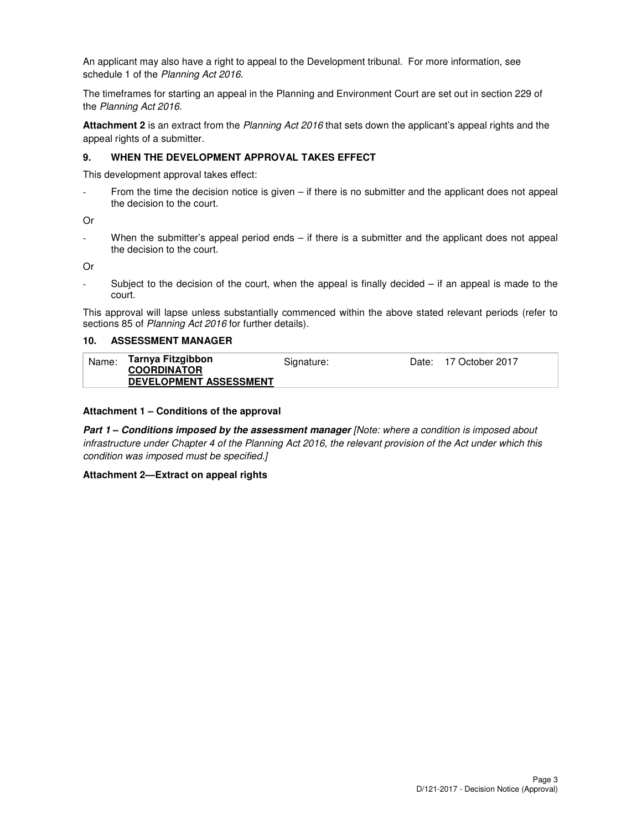An applicant may also have a right to appeal to the Development tribunal. For more information, see schedule 1 of the Planning Act 2016.

The timeframes for starting an appeal in the Planning and Environment Court are set out in section 229 of the Planning Act 2016.

**Attachment 2** is an extract from the Planning Act 2016 that sets down the applicant's appeal rights and the appeal rights of a submitter.

### **9. WHEN THE DEVELOPMENT APPROVAL TAKES EFFECT**

This development approval takes effect:

From the time the decision notice is given  $-$  if there is no submitter and the applicant does not appeal the decision to the court.

Or

When the submitter's appeal period ends – if there is a submitter and the applicant does not appeal the decision to the court.

Or

Subject to the decision of the court, when the appeal is finally decided  $-$  if an appeal is made to the court.

This approval will lapse unless substantially commenced within the above stated relevant periods (refer to sections 85 of Planning Act 2016 for further details).

### **10. ASSESSMENT MANAGER**

| Name: | Tarnya Fitzgibbon<br><b>COORDINATOR</b><br><b>DEVELOPMENT ASSESSMENT</b> | Signature: | Date: 17 October 2017 |
|-------|--------------------------------------------------------------------------|------------|-----------------------|
|       |                                                                          |            |                       |

### **Attachment 1 – Conditions of the approval**

**Part 1 – Conditions imposed by the assessment manager** [Note: where a condition is imposed about infrastructure under Chapter 4 of the Planning Act 2016, the relevant provision of the Act under which this condition was imposed must be specified.]

### **Attachment 2—Extract on appeal rights**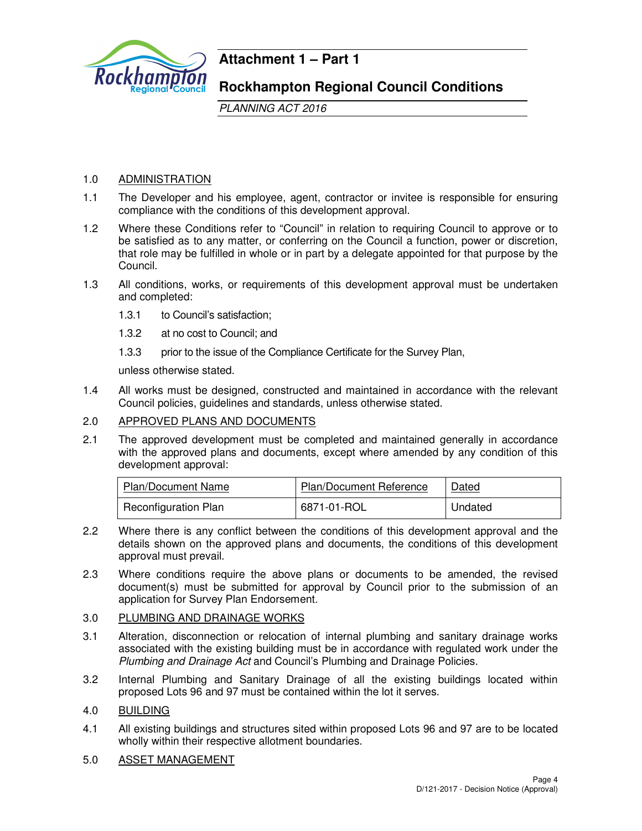

## **Attachment 1 – Part 1**

## **Rockhampton Regional Council Conditions**

PLANNING ACT 2016

## 1.0 ADMINISTRATION

- 1.1 The Developer and his employee, agent, contractor or invitee is responsible for ensuring compliance with the conditions of this development approval.
- 1.2 Where these Conditions refer to "Council" in relation to requiring Council to approve or to be satisfied as to any matter, or conferring on the Council a function, power or discretion, that role may be fulfilled in whole or in part by a delegate appointed for that purpose by the Council.
- 1.3 All conditions, works, or requirements of this development approval must be undertaken and completed:
	- 1.3.1 to Council's satisfaction;
	- 1.3.2 at no cost to Council; and
	- 1.3.3 prior to the issue of the Compliance Certificate for the Survey Plan,

unless otherwise stated.

1.4 All works must be designed, constructed and maintained in accordance with the relevant Council policies, guidelines and standards, unless otherwise stated.

## 2.0 APPROVED PLANS AND DOCUMENTS

2.1 The approved development must be completed and maintained generally in accordance with the approved plans and documents, except where amended by any condition of this development approval:

| Plan/Document Name   | <b>Plan/Document Reference</b> | Dated   |
|----------------------|--------------------------------|---------|
| Reconfiguration Plan | 6871-01-ROL                    | Undated |

- 2.2 Where there is any conflict between the conditions of this development approval and the details shown on the approved plans and documents, the conditions of this development approval must prevail.
- 2.3 Where conditions require the above plans or documents to be amended, the revised document(s) must be submitted for approval by Council prior to the submission of an application for Survey Plan Endorsement.

## 3.0 PLUMBING AND DRAINAGE WORKS

- 3.1 Alteration, disconnection or relocation of internal plumbing and sanitary drainage works associated with the existing building must be in accordance with regulated work under the Plumbing and Drainage Act and Council's Plumbing and Drainage Policies.
- 3.2 Internal Plumbing and Sanitary Drainage of all the existing buildings located within proposed Lots 96 and 97 must be contained within the lot it serves.

## 4.0 BUILDING

- 4.1 All existing buildings and structures sited within proposed Lots 96 and 97 are to be located wholly within their respective allotment boundaries.
- 5.0 ASSET MANAGEMENT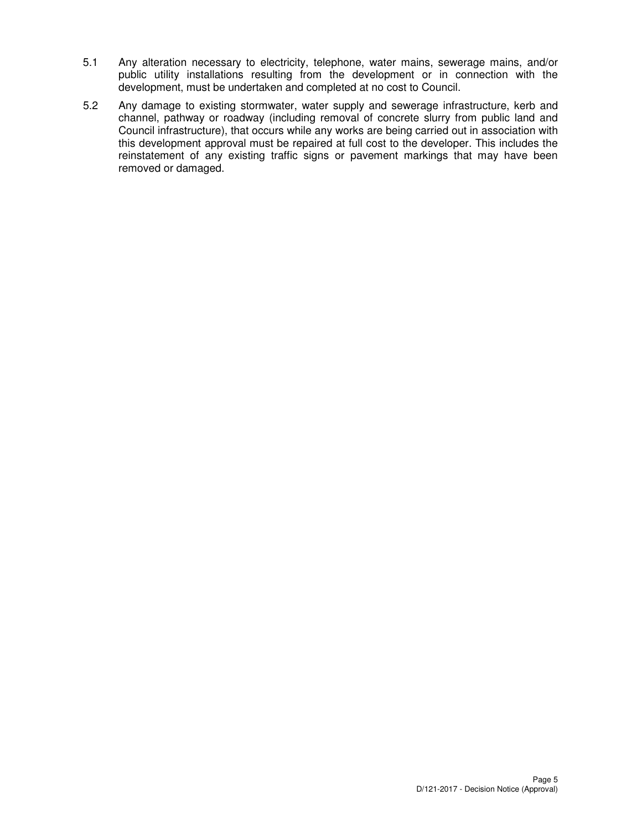- 5.1 Any alteration necessary to electricity, telephone, water mains, sewerage mains, and/or public utility installations resulting from the development or in connection with the development, must be undertaken and completed at no cost to Council.
- 5.2 Any damage to existing stormwater, water supply and sewerage infrastructure, kerb and channel, pathway or roadway (including removal of concrete slurry from public land and Council infrastructure), that occurs while any works are being carried out in association with this development approval must be repaired at full cost to the developer. This includes the reinstatement of any existing traffic signs or pavement markings that may have been removed or damaged.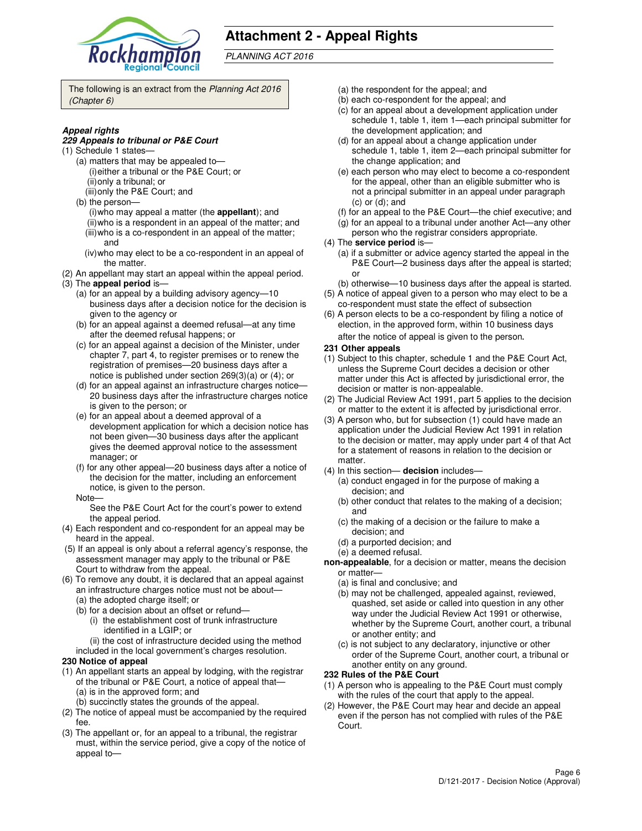

## **Attachment 2 - Appeal Rights**

PLANNING ACT 2016

The following is an extract from the Planning Act 2016 (Chapter 6)

### **Appeal rights**

#### **229 Appeals to tribunal or P&E Court**

- (1) Schedule 1 states—
	- (a) matters that may be appealed to— (i) either a tribunal or the P&E Court; or (ii) only a tribunal; or
	- (iii) only the P&E Court; and
	- (b) the person—
		- (i) who may appeal a matter (the **appellant**); and (ii) who is a respondent in an appeal of the matter; and (iii) who is a co-respondent in an appeal of the matter;
		- and (iv) who may elect to be a co-respondent in an appeal of
- the matter. (2) An appellant may start an appeal within the appeal period. (3) The **appeal period** is—
- (a) for an appeal by a building advisory agency—10
	- business days after a decision notice for the decision is given to the agency or
	- (b) for an appeal against a deemed refusal—at any time after the deemed refusal happens; or
	- (c) for an appeal against a decision of the Minister, under chapter 7, part 4, to register premises or to renew the registration of premises—20 business days after a notice is published under section 269(3)(a) or (4); or
	- (d) for an appeal against an infrastructure charges notice— 20 business days after the infrastructure charges notice is given to the person; or
	- (e) for an appeal about a deemed approval of a development application for which a decision notice has not been given—30 business days after the applicant gives the deemed approval notice to the assessment manager; or
	- (f) for any other appeal—20 business days after a notice of the decision for the matter, including an enforcement notice, is given to the person.
	- Note—

See the P&E Court Act for the court's power to extend the appeal period.

- (4) Each respondent and co-respondent for an appeal may be heard in the appeal.
- (5) If an appeal is only about a referral agency's response, the assessment manager may apply to the tribunal or P&E Court to withdraw from the appeal.
- (6) To remove any doubt, it is declared that an appeal against an infrastructure charges notice must not be about—
	- (a) the adopted charge itself; or
	- (b) for a decision about an offset or refund—
		- (i) the establishment cost of trunk infrastructure identified in a LGIP; or
		- (ii) the cost of infrastructure decided using the method
	- included in the local government's charges resolution.

### **230 Notice of appeal**

- (1) An appellant starts an appeal by lodging, with the registrar of the tribunal or P&E Court, a notice of appeal that— (a) is in the approved form; and
	- (b) succinctly states the grounds of the appeal.
- (2) The notice of appeal must be accompanied by the required fee.
- (3) The appellant or, for an appeal to a tribunal, the registrar must, within the service period, give a copy of the notice of appeal to—
- (a) the respondent for the appeal; and
- (b) each co-respondent for the appeal; and
- (c) for an appeal about a development application under schedule 1, table 1, item 1—each principal submitter for the development application; and
- (d) for an appeal about a change application under schedule 1, table 1, item 2—each principal submitter for the change application; and
- (e) each person who may elect to become a co-respondent for the appeal, other than an eligible submitter who is not a principal submitter in an appeal under paragraph (c) or (d); and
- (f) for an appeal to the P&E Court—the chief executive; and
- (g) for an appeal to a tribunal under another Act—any other
- person who the registrar considers appropriate.
- (4) The **service period** is—
	- (a) if a submitter or advice agency started the appeal in the P&E Court—2 business days after the appeal is started; or
- (b) otherwise—10 business days after the appeal is started. (5) A notice of appeal given to a person who may elect to be a
- co-respondent must state the effect of subsection (6) A person elects to be a co-respondent by filing a notice of
- election, in the approved form, within 10 business days after the notice of appeal is given to the person*.*
- **231 Other appeals**
- (1) Subject to this chapter, schedule 1 and the P&E Court Act, unless the Supreme Court decides a decision or other matter under this Act is affected by jurisdictional error, the decision or matter is non-appealable.
- (2) The Judicial Review Act 1991, part 5 applies to the decision or matter to the extent it is affected by jurisdictional error.
- (3) A person who, but for subsection (1) could have made an application under the Judicial Review Act 1991 in relation to the decision or matter, may apply under part 4 of that Act for a statement of reasons in relation to the decision or matter.
- (4) In this section— **decision** includes—
	- (a) conduct engaged in for the purpose of making a decision; and
	- (b) other conduct that relates to the making of a decision; and
	- (c) the making of a decision or the failure to make a decision; and
	- (d) a purported decision; and
	- (e) a deemed refusal.
- **non-appealable**, for a decision or matter, means the decision or matter—
	- (a) is final and conclusive; and
	- (b) may not be challenged, appealed against, reviewed, quashed, set aside or called into question in any other way under the Judicial Review Act 1991 or otherwise, whether by the Supreme Court, another court, a tribunal or another entity; and
	- (c) is not subject to any declaratory, injunctive or other order of the Supreme Court, another court, a tribunal or another entity on any ground.

### **232 Rules of the P&E Court**

- (1) A person who is appealing to the P&E Court must comply with the rules of the court that apply to the appeal.
- (2) However, the P&E Court may hear and decide an appeal even if the person has not complied with rules of the P&E Court.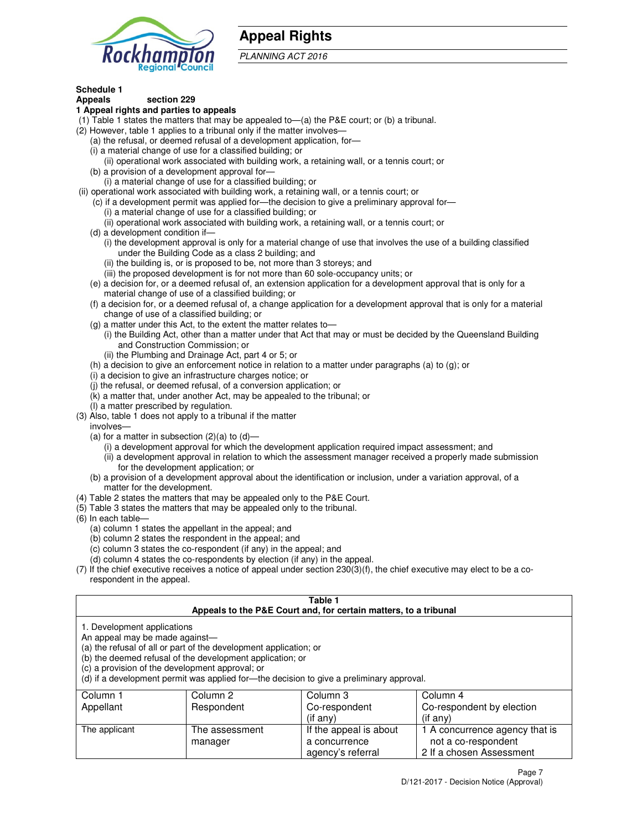

## **Appeal Rights**

PLANNING ACT 2016

## **Schedule 1**

#### **Appeals section 229 1 Appeal rights and parties to appeals**

- (1) Table 1 states the matters that may be appealed to—(a) the P&E court; or (b) a tribunal.
- (2) However, table 1 applies to a tribunal only if the matter involves—
	- (a) the refusal, or deemed refusal of a development application, for—
	- (i) a material change of use for a classified building; or
	- (ii) operational work associated with building work, a retaining wall, or a tennis court; or (b) a provision of a development approval for—
	- (i) a material change of use for a classified building; or
- (ii) operational work associated with building work, a retaining wall, or a tennis court; or
	- (c) if a development permit was applied for—the decision to give a preliminary approval for—
		- (i) a material change of use for a classified building; or
		- (ii) operational work associated with building work, a retaining wall, or a tennis court; or
	- (d) a development condition if—
		- (i) the development approval is only for a material change of use that involves the use of a building classified under the Building Code as a class 2 building; and
		- (ii) the building is, or is proposed to be, not more than 3 storeys; and
		- (iii) the proposed development is for not more than 60 sole-occupancy units; or
	- (e) a decision for, or a deemed refusal of, an extension application for a development approval that is only for a material change of use of a classified building; or
	- (f) a decision for, or a deemed refusal of, a change application for a development approval that is only for a material change of use of a classified building; or
	- (g) a matter under this Act, to the extent the matter relates to—
		- (i) the Building Act, other than a matter under that Act that may or must be decided by the Queensland Building and Construction Commission; or
		- (ii) the Plumbing and Drainage Act, part 4 or 5; or
	- (h) a decision to give an enforcement notice in relation to a matter under paragraphs (a) to (g); or
	- (i) a decision to give an infrastructure charges notice; or
	- (j) the refusal, or deemed refusal, of a conversion application; or
	- (k) a matter that, under another Act, may be appealed to the tribunal; or
	- (l) a matter prescribed by regulation.
- (3) Also, table 1 does not apply to a tribunal if the matter
- involves—
	- (a) for a matter in subsection  $(2)(a)$  to  $(d)$ 
		- (i) a development approval for which the development application required impact assessment; and
		- (ii) a development approval in relation to which the assessment manager received a properly made submission for the development application; or
	- (b) a provision of a development approval about the identification or inclusion, under a variation approval, of a matter for the development.
- (4) Table 2 states the matters that may be appealed only to the P&E Court.
- (5) Table 3 states the matters that may be appealed only to the tribunal.
- (6) In each table—
	- (a) column 1 states the appellant in the appeal; and
	- (b) column 2 states the respondent in the appeal; and
	- (c) column 3 states the co-respondent (if any) in the appeal; and
	- (d) column 4 states the co-respondents by election (if any) in the appeal.
- (7) If the chief executive receives a notice of appeal under section 230(3)(f), the chief executive may elect to be a corespondent in the appeal.

#### **Table 1 Appeals to the P&E Court and, for certain matters, to a tribunal**

| 1. Development applications    |  |
|--------------------------------|--|
|                                |  |
| An appeal may be made against- |  |
|                                |  |

(a) the refusal of all or part of the development application; or

(b) the deemed refusal of the development application; or

(c) a provision of the development approval; or

(d) if a development permit was applied for—the decision to give a preliminary approval.

| Column 1      | Column 2       | Column 3               | Column 4                       |
|---------------|----------------|------------------------|--------------------------------|
| Appellant     | Respondent     | Co-respondent          | Co-respondent by election      |
|               |                | $($ if any $)$         | $($ if any $)$                 |
| The applicant | The assessment | If the appeal is about | 1 A concurrence agency that is |
|               | manager        | a concurrence          | not a co-respondent            |
|               |                | agency's referral      | 2 If a chosen Assessment       |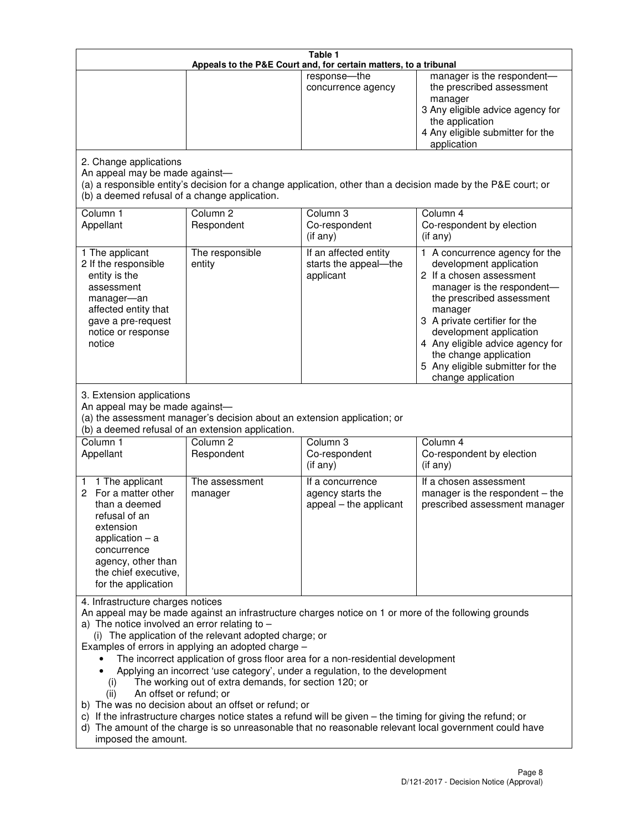|                                                                                                                                                                                                      |                                                                                                                                                                                                                               | Table 1<br>Appeals to the P&E Court and, for certain matters, to a tribunal                                                                                     |                                                                                                                                                                                                                                                                                                                                                 |
|------------------------------------------------------------------------------------------------------------------------------------------------------------------------------------------------------|-------------------------------------------------------------------------------------------------------------------------------------------------------------------------------------------------------------------------------|-----------------------------------------------------------------------------------------------------------------------------------------------------------------|-------------------------------------------------------------------------------------------------------------------------------------------------------------------------------------------------------------------------------------------------------------------------------------------------------------------------------------------------|
|                                                                                                                                                                                                      |                                                                                                                                                                                                                               | response-the<br>concurrence agency                                                                                                                              | manager is the respondent-<br>the prescribed assessment<br>manager<br>3 Any eligible advice agency for<br>the application<br>4 Any eligible submitter for the<br>application                                                                                                                                                                    |
| 2. Change applications<br>An appeal may be made against-<br>(b) a deemed refusal of a change application.                                                                                            |                                                                                                                                                                                                                               |                                                                                                                                                                 | (a) a responsible entity's decision for a change application, other than a decision made by the P&E court; or                                                                                                                                                                                                                                   |
| Column 1<br>Appellant                                                                                                                                                                                | Column <sub>2</sub><br>Respondent                                                                                                                                                                                             | Column <sub>3</sub><br>Co-respondent<br>(if any)                                                                                                                | Column 4<br>Co-respondent by election<br>(if any)                                                                                                                                                                                                                                                                                               |
| 1 The applicant<br>2 If the responsible<br>entity is the<br>assessment<br>manager-an<br>affected entity that<br>gave a pre-request<br>notice or response<br>notice                                   | The responsible<br>entity                                                                                                                                                                                                     | If an affected entity<br>starts the appeal-the<br>applicant                                                                                                     | 1 A concurrence agency for the<br>development application<br>2 If a chosen assessment<br>manager is the respondent-<br>the prescribed assessment<br>manager<br>3 A private certifier for the<br>development application<br>4 Any eligible advice agency for<br>the change application<br>5 Any eligible submitter for the<br>change application |
| 3. Extension applications<br>An appeal may be made against-<br>Column 1<br>Appellant                                                                                                                 | (a) the assessment manager's decision about an extension application; or<br>(b) a deemed refusal of an extension application.<br>Column <sub>2</sub><br>Respondent                                                            | Column 3<br>Co-respondent<br>(if any)                                                                                                                           | Column 4<br>Co-respondent by election<br>(if any)                                                                                                                                                                                                                                                                                               |
| 1 The applicant<br>1<br>2 For a matter other<br>than a deemed<br>refusal of an<br>extension<br>application $-$ a<br>concurrence<br>agency, other than<br>the chief executive,<br>for the application | The assessment<br>manager                                                                                                                                                                                                     | If a concurrence<br>agency starts the<br>appeal – the applicant                                                                                                 | If a chosen assessment<br>manager is the respondent - the<br>prescribed assessment manager                                                                                                                                                                                                                                                      |
| 4. Infrastructure charges notices<br>a) The notice involved an error relating to $-$<br>(i)<br>An offset or refund; or<br>(ii)<br>imposed the amount.                                                | (i) The application of the relevant adopted charge; or<br>Examples of errors in applying an adopted charge -<br>The working out of extra demands, for section 120; or<br>b) The was no decision about an offset or refund; or | The incorrect application of gross floor area for a non-residential development<br>Applying an incorrect 'use category', under a regulation, to the development | An appeal may be made against an infrastructure charges notice on 1 or more of the following grounds<br>c) If the infrastructure charges notice states a refund will be given - the timing for giving the refund; or<br>d) The amount of the charge is so unreasonable that no reasonable relevant local government could have                  |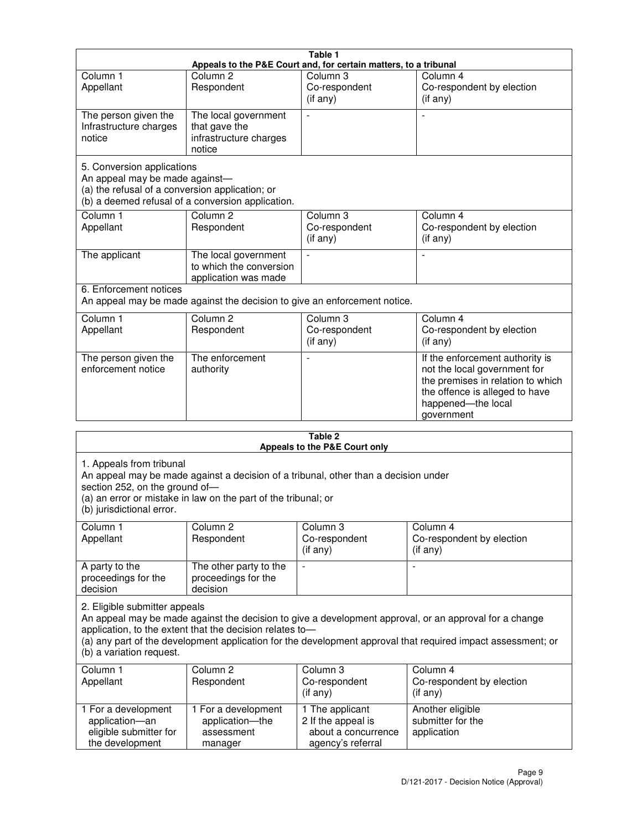|                                                                                                                 |                                                                           | Table 1                                                          |                                                                                                                                                                            |
|-----------------------------------------------------------------------------------------------------------------|---------------------------------------------------------------------------|------------------------------------------------------------------|----------------------------------------------------------------------------------------------------------------------------------------------------------------------------|
|                                                                                                                 |                                                                           | Appeals to the P&E Court and, for certain matters, to a tribunal |                                                                                                                                                                            |
| Column <sub>1</sub><br>Appellant                                                                                | Column <sub>2</sub><br>Respondent                                         | Column 3<br>Co-respondent<br>(if any)                            | Column 4<br>Co-respondent by election<br>(if any)                                                                                                                          |
| The person given the<br>Infrastructure charges<br>notice                                                        | The local government<br>that gave the<br>infrastructure charges<br>notice |                                                                  |                                                                                                                                                                            |
| 5. Conversion applications<br>An appeal may be made against-<br>(a) the refusal of a conversion application; or | (b) a deemed refusal of a conversion application.                         |                                                                  |                                                                                                                                                                            |
| Column <sub>1</sub><br>Appellant                                                                                | Column <sub>2</sub><br>Respondent                                         | Column <sub>3</sub><br>Co-respondent<br>(if any)                 | Column 4<br>Co-respondent by election<br>(i f any)                                                                                                                         |
| The applicant                                                                                                   | The local government<br>to which the conversion<br>application was made   |                                                                  |                                                                                                                                                                            |
| 6. Enforcement notices                                                                                          | An appeal may be made against the decision to give an enforcement notice. |                                                                  |                                                                                                                                                                            |
| Column <sub>1</sub><br>Appellant                                                                                | Column <sub>2</sub><br>Respondent                                         | Column 3<br>Co-respondent<br>(if any)                            | Column 4<br>Co-respondent by election<br>(if any)                                                                                                                          |
| The person given the<br>enforcement notice                                                                      | The enforcement<br>authority                                              |                                                                  | If the enforcement authority is<br>not the local government for<br>the premises in relation to which<br>the offence is alleged to have<br>happened-the local<br>government |
|                                                                                                                 |                                                                           | 9 Tahle                                                          |                                                                                                                                                                            |

| Table 2<br>Appeals to the P&E Court only                                                |                                                                                                                                                       |                                                                                   |                                                                                                                                                                                                                        |
|-----------------------------------------------------------------------------------------|-------------------------------------------------------------------------------------------------------------------------------------------------------|-----------------------------------------------------------------------------------|------------------------------------------------------------------------------------------------------------------------------------------------------------------------------------------------------------------------|
| 1. Appeals from tribunal<br>section 252, on the ground of-<br>(b) jurisdictional error. | An appeal may be made against a decision of a tribunal, other than a decision under<br>(a) an error or mistake in law on the part of the tribunal; or |                                                                                   |                                                                                                                                                                                                                        |
| Column <sub>1</sub><br>Appellant                                                        | Column <sub>2</sub><br>Respondent                                                                                                                     | Column 3<br>Co-respondent<br>(if any)                                             | Column <sub>4</sub><br>Co-respondent by election<br>(if any)                                                                                                                                                           |
| A party to the<br>proceedings for the<br>decision                                       | The other party to the<br>proceedings for the<br>decision                                                                                             | $\blacksquare$                                                                    |                                                                                                                                                                                                                        |
| 2. Eligible submitter appeals<br>(b) a variation request.                               | application, to the extent that the decision relates to-                                                                                              |                                                                                   | An appeal may be made against the decision to give a development approval, or an approval for a change<br>(a) any part of the development application for the development approval that required impact assessment; or |
| Column 1<br>Appellant                                                                   | Column <sub>2</sub><br>Respondent                                                                                                                     | Column <sub>3</sub><br>Co-respondent<br>(i f any)                                 | Column 4<br>Co-respondent by election<br>(i f any)                                                                                                                                                                     |
| 1 For a development<br>application-an<br>eligible submitter for<br>the development      | 1 For a development<br>application-the<br>assessment<br>manager                                                                                       | 1 The applicant<br>2 If the appeal is<br>about a concurrence<br>agency's referral | Another eligible<br>submitter for the<br>application                                                                                                                                                                   |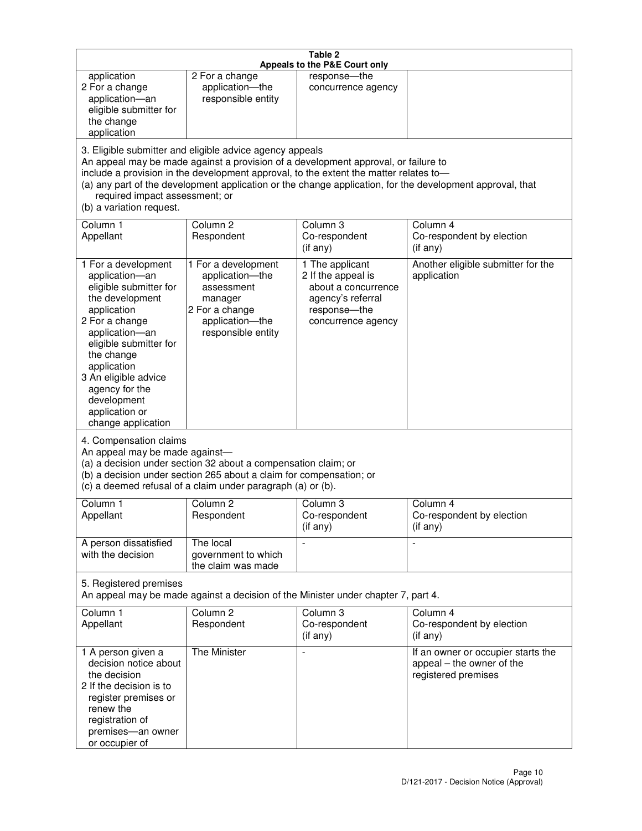| Table 2<br>Appeals to the P&E Court only                                                                                                                                                                                                                                                      |                                                                                                                                                                                                                                         |                                                                                                                         |                                                                                                           |
|-----------------------------------------------------------------------------------------------------------------------------------------------------------------------------------------------------------------------------------------------------------------------------------------------|-----------------------------------------------------------------------------------------------------------------------------------------------------------------------------------------------------------------------------------------|-------------------------------------------------------------------------------------------------------------------------|-----------------------------------------------------------------------------------------------------------|
| application<br>2 For a change<br>application-an<br>eligible submitter for<br>the change<br>application                                                                                                                                                                                        | 2 For a change<br>application-the<br>responsible entity                                                                                                                                                                                 | response-the<br>concurrence agency                                                                                      |                                                                                                           |
| required impact assessment; or<br>(b) a variation request.                                                                                                                                                                                                                                    | 3. Eligible submitter and eligible advice agency appeals<br>An appeal may be made against a provision of a development approval, or failure to<br>include a provision in the development approval, to the extent the matter relates to- |                                                                                                                         | (a) any part of the development application or the change application, for the development approval, that |
| Column 1<br>Appellant                                                                                                                                                                                                                                                                         | Column <sub>2</sub><br>Respondent                                                                                                                                                                                                       | Column <sub>3</sub><br>Co-respondent<br>(if any)                                                                        | Column 4<br>Co-respondent by election<br>(if any)                                                         |
| 1 For a development<br>application-an<br>eligible submitter for<br>the development<br>application<br>2 For a change<br>application-an<br>eligible submitter for<br>the change<br>application<br>3 An eligible advice<br>agency for the<br>development<br>application or<br>change application | 1 For a development<br>application-the<br>assessment<br>manager<br>2 For a change<br>application-the<br>responsible entity                                                                                                              | 1 The applicant<br>2 If the appeal is<br>about a concurrence<br>agency's referral<br>response-the<br>concurrence agency | Another eligible submitter for the<br>application                                                         |
| 4. Compensation claims<br>An appeal may be made against-<br>(a) a decision under section 32 about a compensation claim; or<br>(b) a decision under section 265 about a claim for compensation; or<br>(c) a deemed refusal of a claim under paragraph (a) or (b).                              |                                                                                                                                                                                                                                         |                                                                                                                         |                                                                                                           |
| Column 1<br>Appellant                                                                                                                                                                                                                                                                         | Column 2<br>Respondent                                                                                                                                                                                                                  | Column 3<br>Co-respondent<br>(if any)                                                                                   | Column 4<br>Co-respondent by election<br>(if any)                                                         |
| A person dissatisfied<br>with the decision                                                                                                                                                                                                                                                    | The local<br>government to which<br>the claim was made                                                                                                                                                                                  |                                                                                                                         | $\blacksquare$                                                                                            |
| 5. Registered premises<br>An appeal may be made against a decision of the Minister under chapter 7, part 4.                                                                                                                                                                                   |                                                                                                                                                                                                                                         |                                                                                                                         |                                                                                                           |
| Column 1<br>Appellant                                                                                                                                                                                                                                                                         | Column <sub>2</sub><br>Respondent                                                                                                                                                                                                       | Column 3<br>Co-respondent<br>(if any)                                                                                   | Column 4<br>Co-respondent by election<br>(if any)                                                         |
| 1 A person given a<br>decision notice about<br>the decision<br>2 If the decision is to<br>register premises or<br>renew the<br>registration of<br>premises-an owner<br>or occupier of                                                                                                         | The Minister                                                                                                                                                                                                                            | $\overline{a}$                                                                                                          | If an owner or occupier starts the<br>appeal - the owner of the<br>registered premises                    |